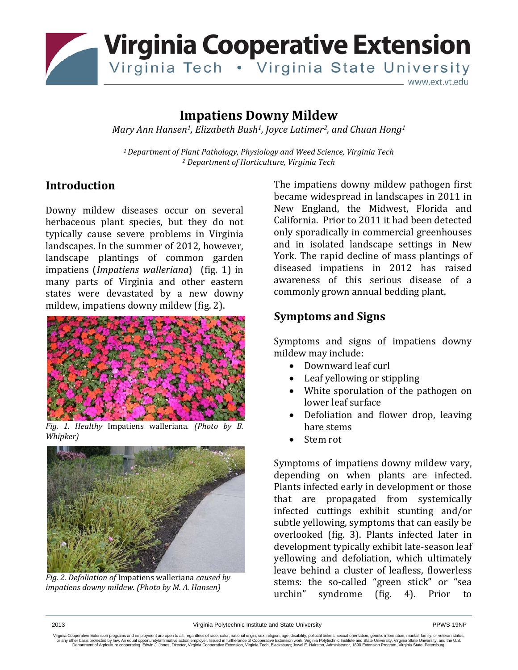

# **Impatiens Downy Mildew**

*Mary Ann Hansen1, Elizabeth Bush1, Joyce Latimer2, and Chuan Hong1*

*1 Department of Plant Pathology, Physiology and Weed Science, Virginia Tech <sup>2</sup> Department of Horticulture, Virginia Tech*

### **Introduction**

Downy mildew diseases occur on several herbaceous plant species, but they do not typically cause severe problems in Virginia landscapes. In the summer of 2012, however, landscape plantings of common garden impatiens (*Impatiens walleriana*) (fig. 1) in many parts of Virginia and other eastern states were devastated by a new downy mildew, impatiens downy mildew (fig. 2).



*Fig. 1. Healthy* Impatiens walleriana*. (Photo by B. Whipker)*



*Fig. 2. Defoliation of* Impatiens walleriana *caused by impatiens downy mildew. (Photo by M. A. Hansen)*

The impatiens downy mildew pathogen first became widespread in landscapes in 2011 in New England, the Midwest, Florida and California. Prior to 2011 it had been detected only sporadically in commercial greenhouses and in isolated landscape settings in New York. The rapid decline of mass plantings of diseased impatiens in 2012 has raised awareness of this serious disease of a commonly grown annual bedding plant.

## **Symptoms and Signs**

Symptoms and signs of impatiens downy mildew may include:

- Downward leaf curl
- Leaf yellowing or stippling
- White sporulation of the pathogen on lower leaf surface
- Defoliation and flower drop, leaving bare stems
- Stem rot

Symptoms of impatiens downy mildew vary, depending on when plants are infected. Plants infected early in development or those that are propagated from systemically infected cuttings exhibit stunting and/or subtle yellowing, symptoms that can easily be overlooked (fig. 3). Plants infected later in development typically exhibit late-season leaf yellowing and defoliation, which ultimately leave behind a cluster of leafless, flowerless stems: the so-called "green stick" or "sea<br>urchin" svndrome (fig. 4). Prior to syndrome (fig. 4). Prior to

Virginia Cooperative Extension programs and employment are open to all, regardless of race, color, national origin, sex, religion, age, disability, political beliefs, sexual orientation, genetic information, marital, fami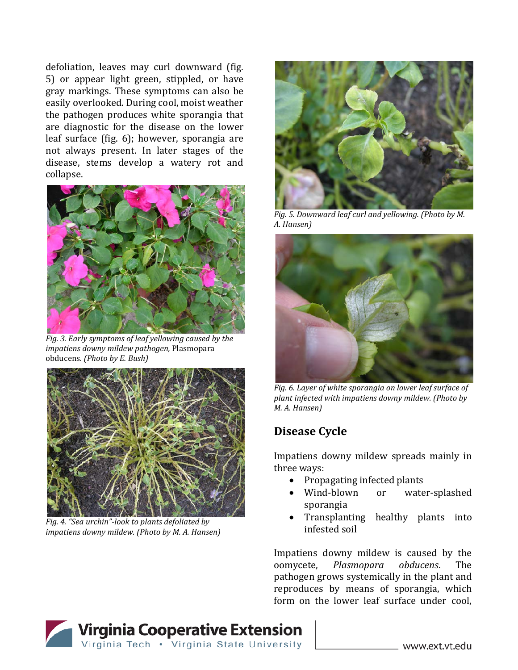defoliation, leaves may curl downward (fig. 5) or appear light green, stippled, or have gray markings. These symptoms can also be easily overlooked. During cool, moist weather the pathogen produces white sporangia that are diagnostic for the disease on the lower leaf surface (fig. 6); however, sporangia are not always present. In later stages of the disease, stems develop a watery rot and collapse.



*Fig. 3. Early symptoms of leaf yellowing caused by the impatiens downy mildew pathogen,* Plasmopara obducens*. (Photo by E. Bush)*



*Fig. 4. "Sea urchin"-look to plants defoliated by impatiens downy mildew. (Photo by M. A. Hansen)*



*Fig. 5. Downward leaf curl and yellowing. (Photo by M. A. Hansen)*



*Fig. 6. Layer of white sporangia on lower leaf surface of plant infected with impatiens downy mildew. (Photo by M. A. Hansen)*

## **Disease Cycle**

Impatiens downy mildew spreads mainly in three ways:

- Propagating infected plants<br>• Wind-blown or wate
- water-splashed sporangia
- Transplanting healthy plants into infested soil

Impatiens downy mildew is caused by the<br>oomvcete, Plasmopara obducens. The Plasmopara pathogen grows systemically in the plant and reproduces by means of sporangia, which form on the lower leaf surface under cool,

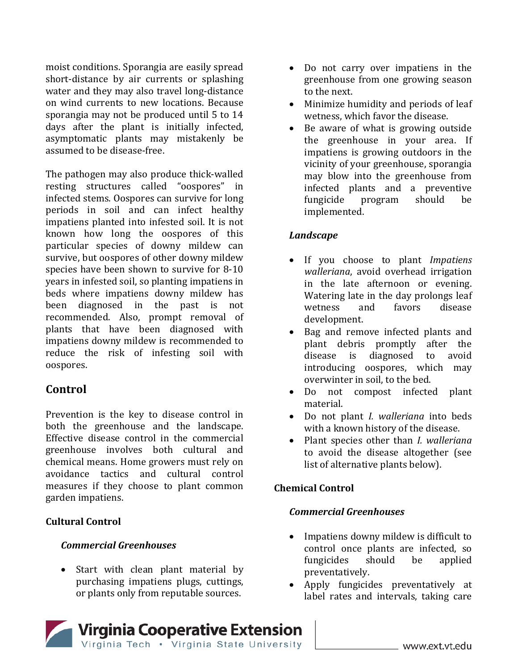moist conditions. Sporangia are easily spread short-distance by air currents or splashing water and they may also travel long-distance on wind currents to new locations. Because sporangia may not be produced until 5 to 14 days after the plant is initially infected, asymptomatic plants may mistakenly be assumed to be disease-free.

The pathogen may also produce thick-walled resting structures called "oospores" in infected stems. Oospores can survive for long periods in soil and can infect healthy impatiens planted into infested soil. It is not known how long the oospores of this particular species of downy mildew can survive, but oospores of other downy mildew species have been shown to survive for 8-10 years in infested soil, so planting impatiens in beds where impatiens downy mildew has been diagnosed in the past is not recommended. Also, prompt removal of plants that have been diagnosed with impatiens downy mildew is recommended to reduce the risk of infesting soil with oospores.

## **Control**

Prevention is the key to disease control in both the greenhouse and the landscape. Effective disease control in the commercial greenhouse involves both cultural and chemical means. Home growers must rely on avoidance tactics and cultural control measures if they choose to plant common garden impatiens.

### **Cultural Control**

#### *Commercial Greenhouses*

Start with clean plant material by purchasing impatiens plugs, cuttings, or plants only from reputable sources.

- Do not carry over impatiens in the greenhouse from one growing season to the next.
- Minimize humidity and periods of leaf wetness, which favor the disease.
- Be aware of what is growing outside the greenhouse in your area. If impatiens is growing outdoors in the vicinity of your greenhouse, sporangia may blow into the greenhouse from infected plants and a preventive<br>fungicide program should be program implemented.

### *Landscape*

- If you choose to plant *Impatiens walleriana*, avoid overhead irrigation in the late afternoon or evening. Watering late in the day prolongs leaf<br>wetness and favors disease wetness development.
- Bag and remove infected plants and plant debris promptly after the disease is diagnosed to avoid introducing oospores, which may overwinter in soil, to the bed.
- Do not compost infected plant material.
- Do not plant *I. walleriana* into beds with a known history of the disease.
- Plant species other than *I. walleriana*  to avoid the disease altogether (see list of alternative plants below).

### **Chemical Control**

#### *Commercial Greenhouses*

- Impatiens downy mildew is difficult to control once plants are infected, so<br>fungicides should be applied fungicides preventatively.
- Apply fungicides preventatively at label rates and intervals, taking care

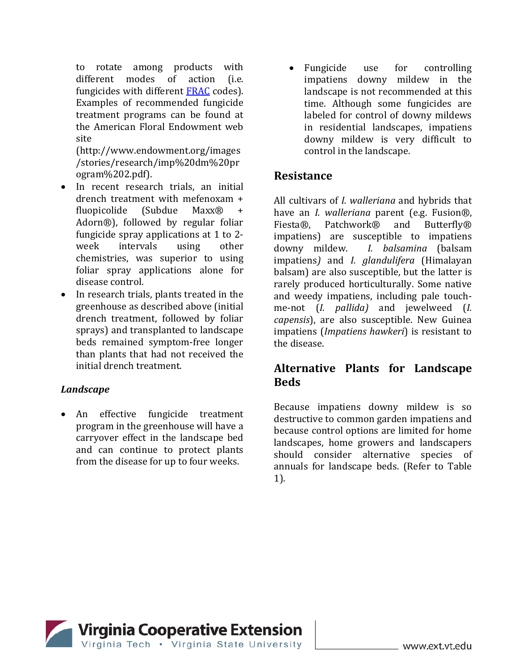to rotate among products with<br>different modes of action (i.e. different modes of fungicides with different **FRAC** codes). Examples of recommended fungicide treatment programs can be found at the American Floral Endowment web site

(http://www.endowment.org/images /stories/research/imp%20dm%20pr ogram%202.pdf).

- In recent research trials, an initial drench treatment with mefenoxam + fluopicolide (Subdue Maxx $\circledR$  + fluopicolide Adorn®), followed by regular foliar fungicide spray applications at 1 to 2-<br>week intervals using other intervals chemistries, was superior to using foliar spray applications alone for disease control.
- In research trials, plants treated in the greenhouse as described above (initial drench treatment, followed by foliar sprays) and transplanted to landscape beds remained symptom-free longer than plants that had not received the initial drench treatment.

#### *Landscape*

• An effective fungicide treatment program in the greenhouse will have a carryover effect in the landscape bed and can continue to protect plants from the disease for up to four weeks.

• Fungicide use for controlling impatiens downy mildew in the landscape is not recommended at this time. Although some fungicides are labeled for control of downy mildews in residential landscapes, impatiens downy mildew is very difficult to control in the landscape.

## **Resistance**

All cultivars of *I. walleriana* and hybrids that have an *I. walleriana* parent (e.g. Fusion®, and Butterfly® impatiens) are susceptible to impatiens<br>downy mildew. I. balsamina (balsam *I. balsamina* (balsam impatiens*)* and *I. glandulifera* (Himalayan balsam) are also susceptible, but the latter is rarely produced horticulturally. Some native and weedy impatiens, including pale touchme-not (*I. pallida)* and jewelweed (*I. capensis*), are also susceptible. New Guinea impatiens (*Impatiens hawkeri*) is resistant to the disease.

## **Alternative Plants for Landscape Beds**

Because impatiens downy mildew is so destructive to common garden impatiens and because control options are limited for home landscapes, home growers and landscapers should consider alternative species of annuals for landscape beds. (Refer to Table 1).

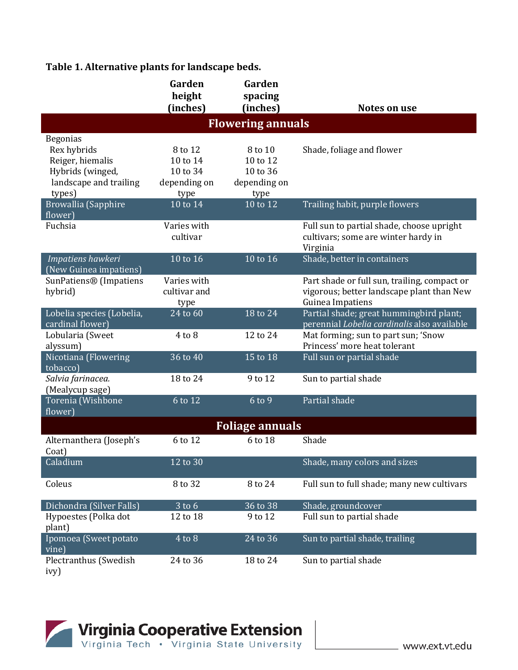## **Table 1. Alternative plants for landscape beds.**

|                                                                                                            | Garden<br>height<br>(inches)                            | Garden<br>spacing<br>(inches)                           | <b>Notes on use</b>                                                                                           |
|------------------------------------------------------------------------------------------------------------|---------------------------------------------------------|---------------------------------------------------------|---------------------------------------------------------------------------------------------------------------|
| <b>Flowering annuals</b>                                                                                   |                                                         |                                                         |                                                                                                               |
| <b>Begonias</b><br>Rex hybrids<br>Reiger, hiemalis<br>Hybrids (winged,<br>landscape and trailing<br>types) | 8 to 12<br>10 to 14<br>10 to 34<br>depending on<br>type | 8 to 10<br>10 to 12<br>10 to 36<br>depending on<br>type | Shade, foliage and flower                                                                                     |
| Browallia (Sapphire                                                                                        | 10 to 14                                                | $\overline{10}$ to $\overline{12}$                      | Trailing habit, purple flowers                                                                                |
| flower)<br>Fuchsia                                                                                         | Varies with<br>cultivar                                 |                                                         | Full sun to partial shade, choose upright<br>cultivars; some are winter hardy in<br>Virginia                  |
| Impatiens hawkeri<br>(New Guinea impatiens)                                                                | 10 to 16                                                | $10$ to $16$                                            | Shade, better in containers                                                                                   |
| SunPatiens® (Impatiens<br>hybrid)                                                                          | Varies with<br>cultivar and<br>type                     |                                                         | Part shade or full sun, trailing, compact or<br>vigorous; better landscape plant than New<br>Guinea Impatiens |
| Lobelia species (Lobelia,<br>cardinal flower)                                                              | 24 to 60                                                | 18 to 24                                                | Partial shade; great hummingbird plant;<br>perennial Lobelia cardinalis also available                        |
| Lobularia (Sweet<br>alyssum)                                                                               | $4$ to $8$                                              | 12 to 24                                                | Mat forming; sun to part sun; 'Snow<br>Princess' more heat tolerant                                           |
| Nicotiana (Flowering<br>tobacco)                                                                           | $\overline{36}$ to $\overline{40}$                      | 15 to 18                                                | Full sun or partial shade                                                                                     |
| Salvia farinacea.<br>(Mealycup sage)                                                                       | 18 to 24                                                | 9 to 12                                                 | Sun to partial shade                                                                                          |
| Torenia (Wishbone<br>flower)                                                                               | 6 to 12                                                 | 6 to 9                                                  | Partial shade                                                                                                 |
| <b>Foliage annuals</b>                                                                                     |                                                         |                                                         |                                                                                                               |
| Alternanthera (Joseph's<br>Coat)                                                                           | 6 to 12                                                 | 6 to 18                                                 | Shade                                                                                                         |
| Caladium                                                                                                   | 12 to 30                                                |                                                         | Shade, many colors and sizes                                                                                  |
| Coleus                                                                                                     | 8 to 32                                                 | 8 to 24                                                 | Full sun to full shade; many new cultivars                                                                    |
| Dichondra (Silver Falls)                                                                                   | $3$ to $6$                                              | 36 to 38                                                | Shade, groundcover                                                                                            |
| Hypoestes (Polka dot<br>plant)                                                                             | 12 to 18                                                | 9 to 12                                                 | Full sun to partial shade                                                                                     |
| Ipomoea (Sweet potato<br>vine)                                                                             | $4$ to $8$                                              | 24 to 36                                                | Sun to partial shade, trailing                                                                                |
| Plectranthus (Swedish<br>ivy)                                                                              | 24 to 36                                                | 18 to 24                                                | Sun to partial shade                                                                                          |